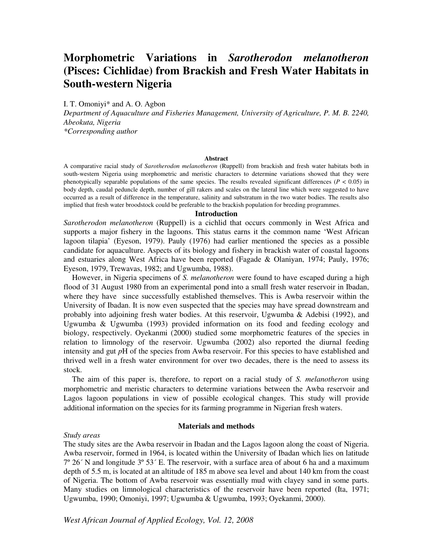# **Morphometric Variations in** *Sarotherodon melanotheron* **(Pisces: Cichlidae) from Brackish and Fresh Water Habitats in South-western Nigeria**

I. T. Omoniyi\* and A. O. Agbon

*Department of Aquaculture and Fisheries Management, University of Agriculture, P. M. B. 2240, Abeokuta, Nigeria* 

*\*Corresponding author*

#### **Abstract**

A comparative racial study of *Sarotherodon melanotheron* (Ruppell) from brackish and fresh water habitats both in south-western Nigeria using morphometric and meristic characters to determine variations showed that they were phenotypically separable populations of the same species. The results revealed significant differences ( $P < 0.05$ ) in body depth, caudal peduncle depth, number of gill rakers and scales on the lateral line which were suggested to have occurred as a result of difference in the temperature, salinity and substratum in the two water bodies. The results also implied that fresh water broodstock could be preferable to the brackish population for breeding programmes.

#### **Introduction**

*Sarotherodon melanotheron* (Ruppell) is a cichlid that occurs commonly in West Africa and supports a major fishery in the lagoons. This status earns it the common name 'West African lagoon tilapia' (Eyeson, 1979). Pauly (1976) had earlier mentioned the species as a possible candidate for aquaculture. Aspects of its biology and fishery in brackish water of coastal lagoons and estuaries along West Africa have been reported (Fagade & Olaniyan, 1974; Pauly, 1976; Eyeson, 1979, Trewavas, 1982; and Ugwumba, 1988).

However, in Nigeria specimens of *S. melanotheron* were found to have escaped during a high flood of 31 August 1980 from an experimental pond into a small fresh water reservoir in Ibadan, where they have since successfully established themselves. This is Awba reservoir within the University of Ibadan. It is now even suspected that the species may have spread downstream and probably into adjoining fresh water bodies. At this reservoir, Ugwumba & Adebisi (1992), and Ugwumba & Ugwumba (1993) provided information on its food and feeding ecology and biology, respectively. Oyekanmi (2000) studied some morphometric features of the species in relation to limnology of the reservoir. Ugwumba (2002) also reported the diurnal feeding intensity and gut *p*H of the species from Awba reservoir. For this species to have established and thrived well in a fresh water environment for over two decades, there is the need to assess its stock.

The aim of this paper is, therefore, to report on a racial study of *S. melanotheron* using morphometric and meristic characters to determine variations between the Awba reservoir and Lagos lagoon populations in view of possible ecological changes. This study will provide additional information on the species for its farming programme in Nigerian fresh waters.

### *Study areas*

# **Materials and methods**

The study sites are the Awba reservoir in Ibadan and the Lagos lagoon along the coast of Nigeria. Awba reservoir, formed in 1964, is located within the University of Ibadan which lies on latitude  $7^{\circ}$  26<sup> $\circ$ </sup> N and longitude 3<sup>°</sup> 53<sup> $\circ$ </sup> E. The reservoir, with a surface area of about 6 ha and a maximum depth of 5.5 m, is located at an altitude of 185 m above sea level and about 140 km from the coast of Nigeria. The bottom of Awba reservoir was essentially mud with clayey sand in some parts. Many studies on limnological characteristics of the reservoir have been reported (Ita, 1971; Ugwumba, 1990; Omoniyi, 1997; Ugwumba & Ugwumba, 1993; Oyekanmi, 2000).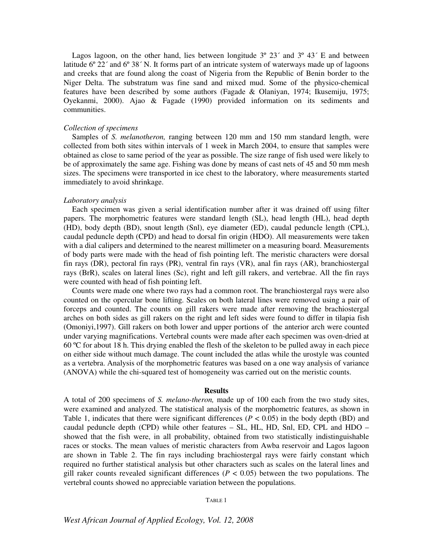Lagos lagoon, on the other hand, lies between longitude  $3^{\circ}$  23<sup> $\circ$ </sup> and  $3^{\circ}$  43<sup> $\circ$ </sup> E and between latitude  $6^{\circ}$  22<sup> $\prime$ </sup> and  $6^{\circ}$  38 $\prime$  N. It forms part of an intricate system of waterways made up of lagoons and creeks that are found along the coast of Nigeria from the Republic of Benin border to the Niger Delta. The substratum was fine sand and mixed mud. Some of the physico-chemical features have been described by some authors (Fagade & Olaniyan, 1974; Ikusemiju, 1975; Oyekanmi, 2000). Ajao & Fagade (1990) provided information on its sediments and communities.

# *Collection of specimens*

Samples of *S. melanotheron,* ranging between 120 mm and 150 mm standard length, were collected from both sites within intervals of 1 week in March 2004, to ensure that samples were obtained as close to same period of the year as possible. The size range of fish used were likely to be of approximately the same age. Fishing was done by means of cast nets of 45 and 50 mm mesh sizes. The specimens were transported in ice chest to the laboratory, where measurements started immediately to avoid shrinkage.

## *Laboratory analysis*

Each specimen was given a serial identification number after it was drained off using filter papers. The morphometric features were standard length (SL), head length (HL), head depth (HD), body depth (BD), snout length (Snl), eye diameter (ED), caudal peduncle length (CPL), caudal peduncle depth (CPD) and head to dorsal fin origin (HDO). All measurements were taken with a dial calipers and determined to the nearest millimeter on a measuring board. Measurements of body parts were made with the head of fish pointing left. The meristic characters were dorsal fin rays (DR), pectoral fin rays (PR), ventral fin rays (VR), anal fin rays (AR), branchiostergal rays (BrR), scales on lateral lines (Sc), right and left gill rakers, and vertebrae. All the fin rays were counted with head of fish pointing left.

Counts were made one where two rays had a common root. The branchiostergal rays were also counted on the opercular bone lifting. Scales on both lateral lines were removed using a pair of forceps and counted. The counts on gill rakers were made after removing the brachiostergal arches on both sides as gill rakers on the right and left sides were found to differ in tilapia fish (Omoniyi,1997). Gill rakers on both lower and upper portions of the anterior arch were counted under varying magnifications. Vertebral counts were made after each specimen was oven-dried at 60 ºC for about 18 h. This drying enabled the flesh of the skeleton to be pulled away in each piece on either side without much damage. The count included the atlas while the urostyle was counted as a vertebra. Analysis of the morphometric features was based on a one way analysis of variance (ANOVA) while the chi-squared test of homogeneity was carried out on the meristic counts.

#### **Results**

A total of 200 specimens of *S. melano-theron,* made up of 100 each from the two study sites, were examined and analyzed. The statistical analysis of the morphometric features, as shown in Table 1, indicates that there were significant differences ( $P < 0.05$ ) in the body depth (BD) and caudal peduncle depth (CPD) while other features – SL, HL, HD, Snl, ED, CPL and HDO – showed that the fish were, in all probability, obtained from two statistically indistinguishable races or stocks. The mean values of meristic characters from Awba reservoir and Lagos lagoon are shown in Table 2. The fin rays including brachiostergal rays were fairly constant which required no further statistical analysis but other characters such as scales on the lateral lines and gill raker counts revealed significant differences ( $P < 0.05$ ) between the two populations. The vertebral counts showed no appreciable variation between the populations.

#### TABLE 1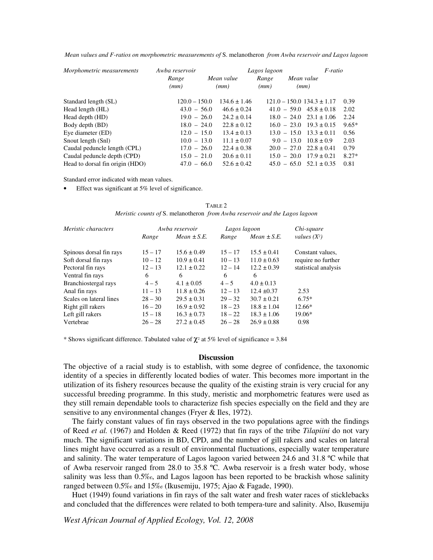*Mean values and F-ratios on morphometric measurements of* S. melanotheron *from Awba reservoir and Lagos lagoon* 

| Morphometric measurements       | Awba reservoir  |                  | F-ratio |               |                                  |         |
|---------------------------------|-----------------|------------------|---------|---------------|----------------------------------|---------|
|                                 | Range           | Mean value       | Range   | Mean value    |                                  |         |
|                                 | (mm)            | (mm)             | (mm)    | (mm)          |                                  |         |
| Standard length (SL)            | $120.0 - 150.0$ | $134.6 \pm 1.46$ |         |               | $121.0 - 150.0$ $134.3 \pm 1.17$ | 0.39    |
| Head length (HL)                | $43.0 - 56.0$   | $46.6 \pm 0.24$  |         |               | $41.0 - 59.0$ $45.8 \pm 0.18$    | 2.02    |
| Head depth (HD)                 | $19.0 - 26.0$   | $24.2 \pm 0.14$  |         |               | $18.0 - 24.0$ $23.1 \pm 1.06$    | 2.24    |
| Body depth (BD)                 | $18.0 - 24.0$   | $22.8 \pm 0.12$  |         |               | $16.0 - 23.0$ $19.3 \pm 0.15$    | $9.65*$ |
| Eye diameter (ED)               | $12.0 - 15.0$   | $13.4 \pm 0.13$  |         |               | $13.0 - 15.0$ $13.3 \pm 0.11$    | 0.56    |
| Snout length (Snl)              | $10.0 - 13.0$   | $11.1 \pm 0.07$  |         |               | $9.0 - 13.0$ $10.8 \pm 0.9$      | 2.03    |
| Caudal peduncle length (CPL)    | $17.0 - 26.0$   | $22.4 \pm 0.38$  |         |               | $20.0 - 27.0$ $22.8 \pm 0.41$    | 0.79    |
| Caudal peduncle depth (CPD)     | $15.0 - 21.0$   | $20.6 \pm 0.11$  |         | $15.0 - 20.0$ | $17.9 \pm 0.21$                  | $8.27*$ |
| Head to dorsal fin origin (HDO) | $47.0 - 66.0$   | $52.6 \pm 0.42$  |         |               | $45.0 - 65.0$ $52.1 \pm 0.35$    | 0.81    |

Standard error indicated with mean values.

• Effect was significant at 5% level of significance.

| TABLE 2 |                                                                             |  |  |  |  |  |  |
|---------|-----------------------------------------------------------------------------|--|--|--|--|--|--|
|         | Meristic counts of S. melanotheron from Awba reservoir and the Lagos lagoon |  |  |  |  |  |  |

| Meristic characters     |           | Awba reservoir  |           | Lagos lagoon    | Chi-square           |  |
|-------------------------|-----------|-----------------|-----------|-----------------|----------------------|--|
|                         | Range     | Mean $\pm$ S.E. | Range     | $Mean \pm S.E.$ | values $(X^2)$       |  |
| Spinous dorsal fin rays | $15 - 17$ | $15.6 \pm 0.49$ | $15 - 17$ | $15.5 \pm 0.41$ | Constant values.     |  |
| Soft dorsal fin rays    | $10 - 12$ | $10.9 \pm 0.41$ | $10 - 13$ | $11.0 \pm 0.63$ | require no further   |  |
| Pectoral fin rays       | $12 - 13$ | $12.1 \pm 0.22$ | $12 - 14$ | $12.2 \pm 0.39$ | statistical analysis |  |
| Ventral fin rays        | 6         | 6               | 6         | 6               |                      |  |
| Branchiostergal rays    | $4 - 5$   | $4.1 \pm 0.05$  | $4 - 5$   | $4.0 \pm 0.13$  |                      |  |
| Anal fin rays           | $11 - 13$ | $11.8 \pm 0.26$ | $12 - 13$ | $12.4 \pm 0.37$ | 2.53                 |  |
| Scales on lateral lines | $28 - 30$ | $29.5 \pm 0.31$ | $29 - 32$ | $30.7 \pm 0.21$ | $6.75*$              |  |
| Right gill rakers       | $16 - 20$ | $16.9 \pm 0.92$ | $18 - 23$ | $18.8 \pm 1.04$ | 12.66*               |  |
| Left gill rakers        | $15 - 18$ | $16.3 \pm 0.73$ | $18 - 22$ | $18.3 \pm 1.06$ | $19.06*$             |  |
| Vertebrae               | $26 - 28$ | $27.2 \pm 0.45$ | $26 - 28$ | $26.9 \pm 0.88$ | 0.98                 |  |

\* Shows significant difference. Tabulated value of  $\chi^2$  at 5% level of significance = 3.84

## **Discussion**

The objective of a racial study is to establish, with some degree of confidence, the taxonomic identity of a species in differently located bodies of water. This becomes more important in the utilization of its fishery resources because the quality of the existing strain is very crucial for any successful breeding programme. In this study, meristic and morphometric features were used as they still remain dependable tools to characterize fish species especially on the field and they are sensitive to any environmental changes (Fryer & Iles, 1972).

The fairly constant values of fin rays observed in the two populations agree with the findings of Reed *et al.* (1967) and Holden & Reed (1972) that fin rays of the tribe *Tilapiini* do not vary much. The significant variations in BD, CPD, and the number of gill rakers and scales on lateral lines might have occurred as a result of environmental fluctuations, especially water temperature and salinity. The water temperature of Lagos lagoon varied between 24.6 and 31.8 ºC while that of Awba reservoir ranged from 28.0 to 35.8 ºC. Awba reservoir is a fresh water body, whose salinity was less than 0.5‰, and Lagos lagoon has been reported to be brackish whose salinity ranged between 0.5‰ and 15‰ (Ikusemiju, 1975; Ajao & Fagade, 1990).

Huet (1949) found variations in fin rays of the salt water and fresh water races of sticklebacks and concluded that the differences were related to both tempera-ture and salinity. Also, Ikusemiju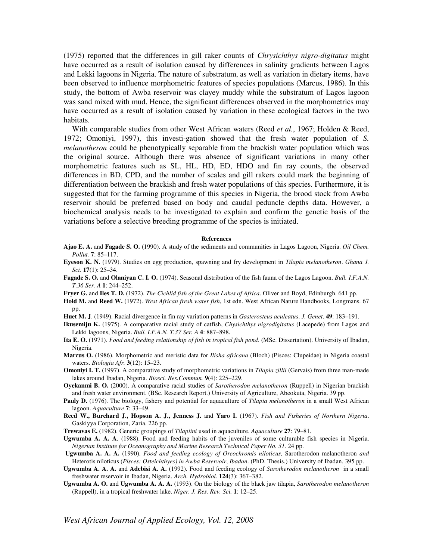(1975) reported that the differences in gill raker counts of *Chrysichthys nigro-digitatus* might have occurred as a result of isolation caused by differences in salinity gradients between Lagos and Lekki lagoons in Nigeria. The nature of substratum, as well as variation in dietary items, have been observed to influence morphometric features of species populations (Marcus, 1986). In this study, the bottom of Awba reservoir was clayey muddy while the substratum of Lagos lagoon was sand mixed with mud. Hence, the significant differences observed in the morphometrics may have occurred as a result of isolation caused by variation in these ecological factors in the two habitats.

With comparable studies from other West African waters (Reed *et al.*, 1967; Holden & Reed, 1972; Omoniyi, 1997), this investi-gation showed that the fresh water population of *S. melanotheron* could be phenotypically separable from the brackish water population which was the original source. Although there was absence of significant variations in many other morphometric features such as SL, HL, HD, ED, HDO and fin ray counts, the observed differences in BD, CPD, and the number of scales and gill rakers could mark the beginning of differentiation between the brackish and fresh water populations of this species. Furthermore, it is suggested that for the farming programme of this species in Nigeria, the brood stock from Awba reservoir should be preferred based on body and caudal peduncle depths data. However, a biochemical analysis needs to be investigated to explain and confirm the genetic basis of the variations before a selective breeding programme of the species is initiated.

#### **References**

- **Ajao E. A.** and **Fagade S. O.** (1990). A study of the sediments and communities in Lagos Lagoon, Nigeria. *Oil Chem. Pollut.* **7**: 85–117.
- **Eyeson K. N.** (1979). Studies on egg production, spawning and fry development in *Tilapia melanotheron*. *Ghana J. Sci*. **17**(1): 25–34.
- **Fagade S. O.** and **Olaniyan C. I. O.** (1974). Seasonal distribution of the fish fauna of the Lagos Lagoon. *Bull. I.F.A.N. T.36 Ser. A* **1**: 244–252.
- **Fryer G.** and **Iles T. D.** (1972). *The Cichlid fish of the Great Lakes of Africa*. Oliver and Boyd, Edinburgh. 641 pp.
- **Hold M.** and **Reed W.** (1972). *West African fresh water fish*, 1st edn. West African Nature Handbooks, Longmans. 67 pp.
- **Huet M. J**. (1949). Racial divergence in fin ray variation patterns in *Gasterosteus aculeatus*. *J. Genet*. **49**: 183–191.
- **Ikusemiju K.** (1975). A comparative racial study of catfish, *Chysichthys nigrodigitatus* (Lacepede) from Lagos and Lekki lagoons, Nigeria. *Bull. I.F.A.N. T.37 Ser. A* **4**: 887–898.
- **Ita E. O.** (1971). *Food and feeding relationship of fish in tropical fish pond*. (MSc. Dissertation). University of Ibadan, Nigeria.
- **Marcus O.** (1986). Morphometric and meristic data for *Ilisha africana* (Bloch) (Pisces: Clupeidae) in Nigeria coastal waters. *Biologia Afr.* **3**(12): 15–23.
- **Omoniyi I. T.** (1997). A comparative study of morphometric variations in *Tilapia zillii* (Gervais) from three man-made lakes around Ibadan, Nigeria. *Biosci. Res.Commun.* **9**(4): 225–229.
- **Oyekanmi B. O.** (2000). A comparative racial studies of *Sarotherodon melanotheron* (Ruppell) in Nigerian brackish and fresh water environment. (BSc. Research Report.) University of Agriculture, Abeokuta, Nigeria. 39 pp.
- **Pauly D.** (1976). The biology, fishery and potential for aquaculture of *Tilapia melanotheron* in a small West African lagoon. *Aquaculture* **7**: 33–49.
- **Reed W., Burchard J., Hopson A. J., Jenness J.** and **Yaro I.** (1967). *Fish and Fisheries of Northern Nigeria*. Gaskiyya Corporation, Zaria. 226 pp.
- **Trewavas E.** (1982). Generic groupings of *Tilapiini* used in aquaculture. *Aquaculture* **27**: 79–81.
- **Ugwumba A. A. A**. (1988). Food and feeding habits of the juveniles of some culturable fish species in Nigeria. *Nigerian Institute for Oceanography and Marine Research Technical Paper No. 31.* 24 pp.
- **Ugwumba A. A. A.** (1990). *Food and feeding ecology of Oreochromis niloticus,* Sarotherodon melanotheron *and*  Heterotis niloticus (*Pisces: Osteichthyes) in Awba Reservoir*, *Ibadan*. (PhD. Thesis.) University of Ibadan. 395 pp.
- **Ugwumba A. A. A.** and **Adebisi A. A.** (1992). Food and feeding ecology of *Sarotherodon melanotheron* in a small freshwater reservoir in Ibadan, Nigeria. *Arch. Hydrobiol*. **124**(3): 367–382.
- **Ugwumba A. O.** and **Ugwumba A. A. A.** (1993). On the biology of the black jaw tilapia, *Sarotherodon melanotheron* (Ruppell), in a tropical freshwater lake. *Niger. J. Res. Rev. Sci.* **1**: 12–25.